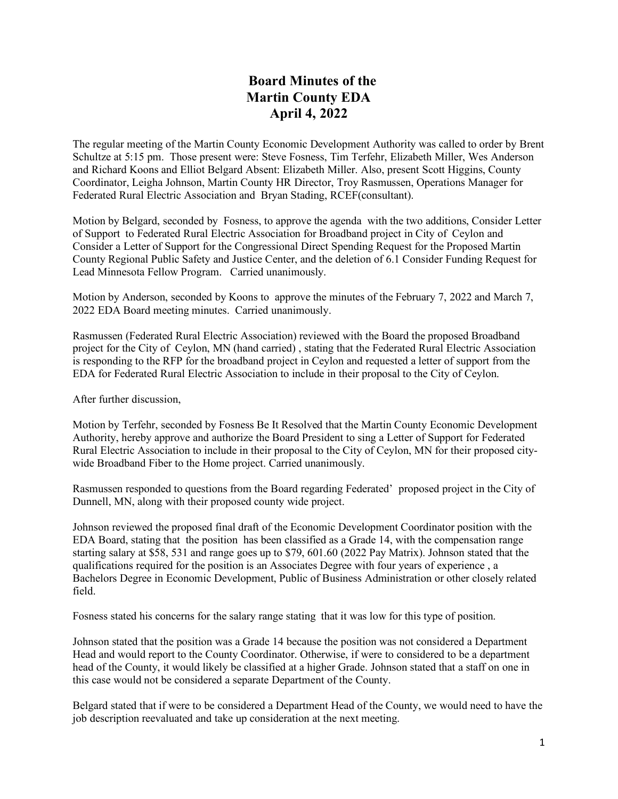## **Board Minutes of the Martin County EDA April 4, 2022**

The regular meeting of the Martin County Economic Development Authority was called to order by Brent Schultze at 5:15 pm. Those present were: Steve Fosness, Tim Terfehr, Elizabeth Miller, Wes Anderson and Richard Koons and Elliot Belgard Absent: Elizabeth Miller. Also, present Scott Higgins, County Coordinator, Leigha Johnson, Martin County HR Director, Troy Rasmussen, Operations Manager for Federated Rural Electric Association and Bryan Stading, RCEF(consultant).

Motion by Belgard, seconded by Fosness, to approve the agenda with the two additions, Consider Letter of Support to Federated Rural Electric Association for Broadband project in City of Ceylon and Consider a Letter of Support for the Congressional Direct Spending Request for the Proposed Martin County Regional Public Safety and Justice Center, and the deletion of 6.1 Consider Funding Request for Lead Minnesota Fellow Program. Carried unanimously.

Motion by Anderson, seconded by Koons to approve the minutes of the February 7, 2022 and March 7, 2022 EDA Board meeting minutes. Carried unanimously.

Rasmussen (Federated Rural Electric Association) reviewed with the Board the proposed Broadband project for the City of Ceylon, MN (hand carried) , stating that the Federated Rural Electric Association is responding to the RFP for the broadband project in Ceylon and requested a letter of support from the EDA for Federated Rural Electric Association to include in their proposal to the City of Ceylon.

After further discussion,

Motion by Terfehr, seconded by Fosness Be It Resolved that the Martin County Economic Development Authority, hereby approve and authorize the Board President to sing a Letter of Support for Federated Rural Electric Association to include in their proposal to the City of Ceylon, MN for their proposed citywide Broadband Fiber to the Home project. Carried unanimously.

Rasmussen responded to questions from the Board regarding Federated' proposed project in the City of Dunnell, MN, along with their proposed county wide project.

Johnson reviewed the proposed final draft of the Economic Development Coordinator position with the EDA Board, stating that the position has been classified as a Grade 14, with the compensation range starting salary at \$58, 531 and range goes up to \$79, 601.60 (2022 Pay Matrix). Johnson stated that the qualifications required for the position is an Associates Degree with four years of experience , a Bachelors Degree in Economic Development, Public of Business Administration or other closely related field.

Fosness stated his concerns for the salary range stating that it was low for this type of position.

Johnson stated that the position was a Grade 14 because the position was not considered a Department Head and would report to the County Coordinator. Otherwise, if were to considered to be a department head of the County, it would likely be classified at a higher Grade. Johnson stated that a staff on one in this case would not be considered a separate Department of the County.

Belgard stated that if were to be considered a Department Head of the County, we would need to have the job description reevaluated and take up consideration at the next meeting.